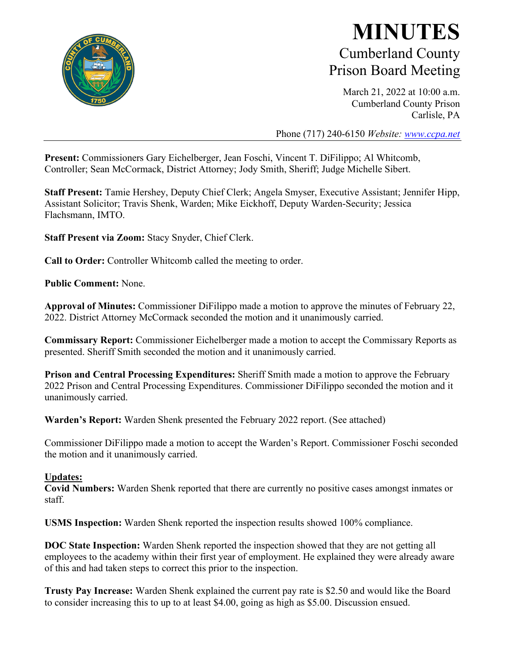

### **MINUTES** Cumberland County Prison Board Meeting

March 21, 2022 at 10:00 a.m. Cumberland County Prison Carlisle, PA

Phone (717) 240-6150 *Website: [www.ccpa.net](http://www.ccpa.net/)*

**Present:** Commissioners Gary Eichelberger, Jean Foschi, Vincent T. DiFilippo; Al Whitcomb, Controller; Sean McCormack, District Attorney; Jody Smith, Sheriff; Judge Michelle Sibert.

**Staff Present:** Tamie Hershey, Deputy Chief Clerk; Angela Smyser, Executive Assistant; Jennifer Hipp, Assistant Solicitor; Travis Shenk, Warden; Mike Eickhoff, Deputy Warden-Security; Jessica Flachsmann, IMTO.

**Staff Present via Zoom:** Stacy Snyder, Chief Clerk.

**Call to Order:** Controller Whitcomb called the meeting to order.

**Public Comment:** None.

**Approval of Minutes:** Commissioner DiFilippo made a motion to approve the minutes of February 22, 2022. District Attorney McCormack seconded the motion and it unanimously carried.

**Commissary Report:** Commissioner Eichelberger made a motion to accept the Commissary Reports as presented. Sheriff Smith seconded the motion and it unanimously carried.

**Prison and Central Processing Expenditures:** Sheriff Smith made a motion to approve the February 2022 Prison and Central Processing Expenditures. Commissioner DiFilippo seconded the motion and it unanimously carried.

**Warden's Report:** Warden Shenk presented the February 2022 report. (See attached)

Commissioner DiFilippo made a motion to accept the Warden's Report. Commissioner Foschi seconded the motion and it unanimously carried.

#### **Updates:**

**Covid Numbers:** Warden Shenk reported that there are currently no positive cases amongst inmates or staff.

**USMS Inspection:** Warden Shenk reported the inspection results showed 100% compliance.

**DOC State Inspection:** Warden Shenk reported the inspection showed that they are not getting all employees to the academy within their first year of employment. He explained they were already aware of this and had taken steps to correct this prior to the inspection.

**Trusty Pay Increase:** Warden Shenk explained the current pay rate is \$2.50 and would like the Board to consider increasing this to up to at least \$4.00, going as high as \$5.00. Discussion ensued.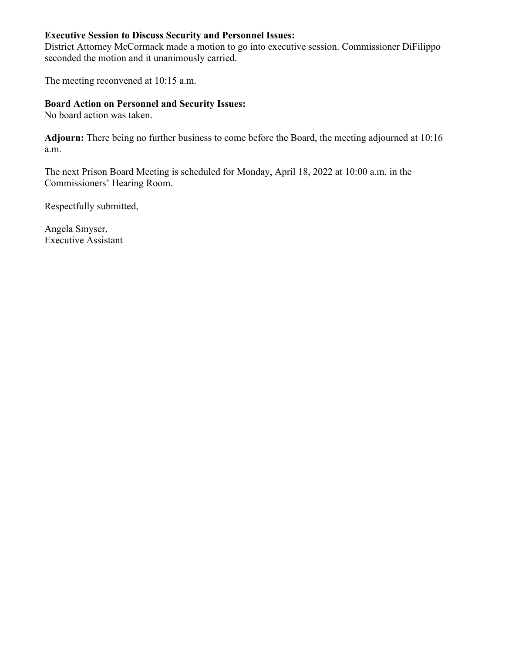### **Executive Session to Discuss Security and Personnel Issues:**

District Attorney McCormack made a motion to go into executive session. Commissioner DiFilippo seconded the motion and it unanimously carried.

The meeting reconvened at 10:15 a.m.

#### **Board Action on Personnel and Security Issues:**

No board action was taken.

**Adjourn:** There being no further business to come before the Board, the meeting adjourned at 10:16 a.m.

The next Prison Board Meeting is scheduled for Monday, April 18, 2022 at 10:00 a.m. in the Commissioners' Hearing Room.

Respectfully submitted,

Angela Smyser, Executive Assistant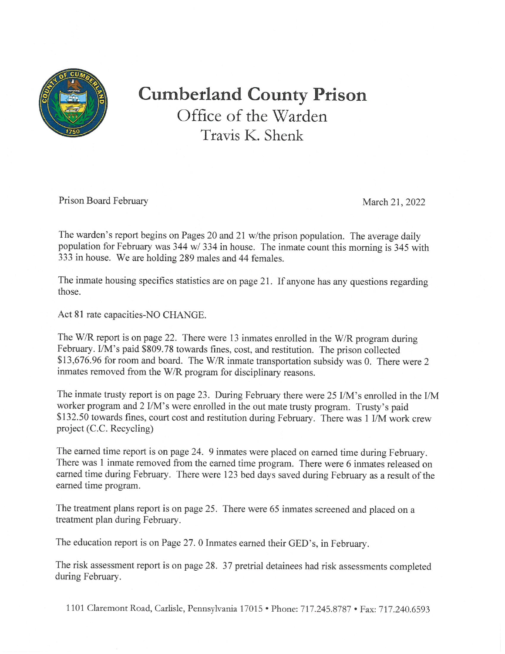

# **Cumberland County Prison** Office of the Warden Travis K. Shenk

Prison Board February

March 21, 2022

The warden's report begins on Pages 20 and 21 w/the prison population. The average daily population for February was 344 w/ 334 in house. The inmate count this morning is 345 with 333 in house. We are holding 289 males and 44 females.

The inmate housing specifics statistics are on page 21. If anyone has any questions regarding those.

Act 81 rate capacities-NO CHANGE.

The W/R report is on page 22. There were 13 inmates enrolled in the W/R program during February. I/M's paid \$809.78 towards fines, cost, and restitution. The prison collected \$13,676.96 for room and board. The W/R inmate transportation subsidy was 0. There were 2 inmates removed from the W/R program for disciplinary reasons.

The inmate trusty report is on page 23. During February there were 25 I/M's enrolled in the I/M worker program and 2 I/M's were enrolled in the out mate trusty program. Trusty's paid \$132.50 towards fines, court cost and restitution during February. There was 1 I/M work crew project (C.C. Recycling)

The earned time report is on page 24. 9 inmates were placed on earned time during February. There was 1 inmate removed from the earned time program. There were 6 inmates released on earned time during February. There were 123 bed days saved during February as a result of the earned time program.

The treatment plans report is on page 25. There were 65 inmates screened and placed on a treatment plan during February.

The education report is on Page 27. 0 Inmates earned their GED's, in February.

The risk assessment report is on page 28. 37 pretrial detainees had risk assessments completed during February.

1101 Claremont Road, Carlisle, Pennsylvania 17015 · Phone: 717.245.8787 · Fax: 717.240.6593